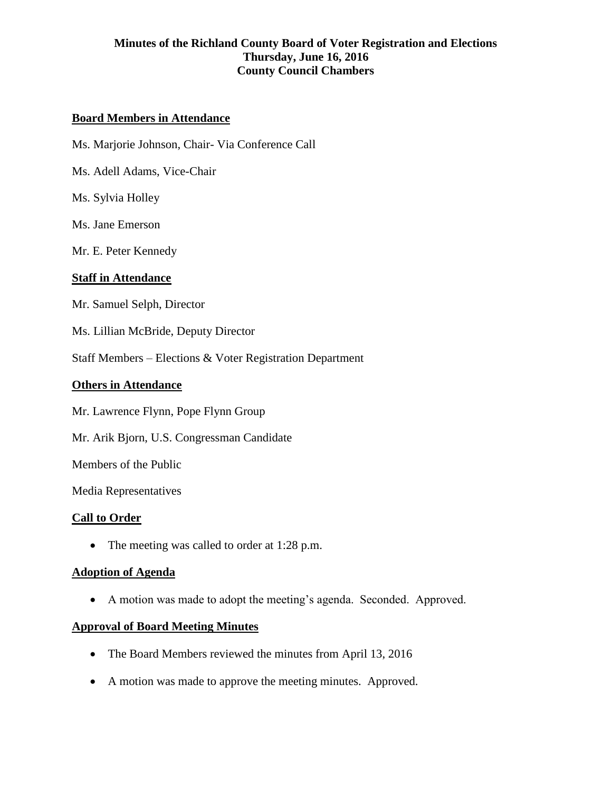### **Board Members in Attendance**

Ms. Marjorie Johnson, Chair- Via Conference Call

Ms. Adell Adams, Vice-Chair

Ms. Sylvia Holley

Ms. Jane Emerson

Mr. E. Peter Kennedy

#### **Staff in Attendance**

Mr. Samuel Selph, Director

Ms. Lillian McBride, Deputy Director

Staff Members – Elections & Voter Registration Department

#### **Others in Attendance**

Mr. Lawrence Flynn, Pope Flynn Group

Mr. Arik Bjorn, U.S. Congressman Candidate

Members of the Public

Media Representatives

#### **Call to Order**

• The meeting was called to order at 1:28 p.m.

#### **Adoption of Agenda**

A motion was made to adopt the meeting's agenda. Seconded. Approved.

#### **Approval of Board Meeting Minutes**

- The Board Members reviewed the minutes from April 13, 2016
- A motion was made to approve the meeting minutes. Approved.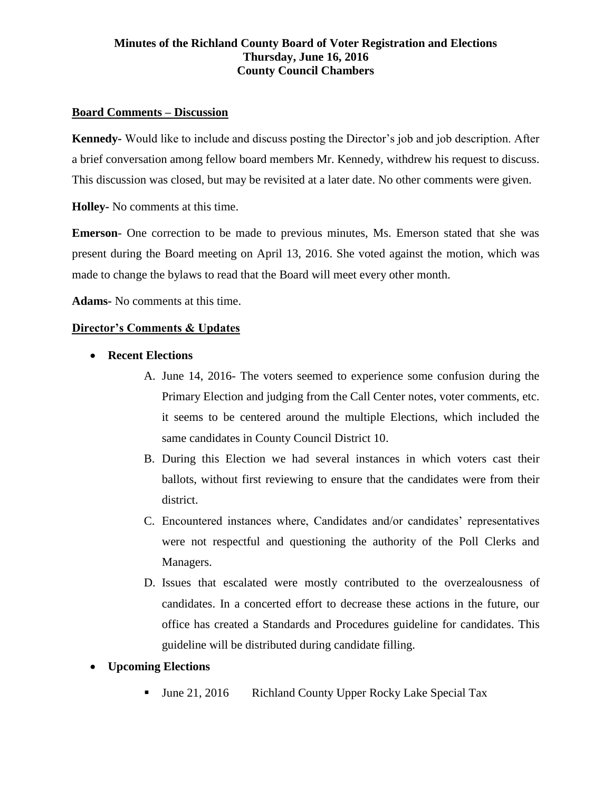#### **Board Comments – Discussion**

**Kennedy-** Would like to include and discuss posting the Director's job and job description. After a brief conversation among fellow board members Mr. Kennedy, withdrew his request to discuss. This discussion was closed, but may be revisited at a later date. No other comments were given.

**Holley-** No comments at this time.

**Emerson**- One correction to be made to previous minutes, Ms. Emerson stated that she was present during the Board meeting on April 13, 2016. She voted against the motion, which was made to change the bylaws to read that the Board will meet every other month.

**Adams-** No comments at this time.

#### **Director's Comments & Updates**

- **Recent Elections**
	- A. June 14, 2016- The voters seemed to experience some confusion during the Primary Election and judging from the Call Center notes, voter comments, etc. it seems to be centered around the multiple Elections, which included the same candidates in County Council District 10.
	- B. During this Election we had several instances in which voters cast their ballots, without first reviewing to ensure that the candidates were from their district.
	- C. Encountered instances where, Candidates and/or candidates' representatives were not respectful and questioning the authority of the Poll Clerks and Managers.
	- D. Issues that escalated were mostly contributed to the overzealousness of candidates. In a concerted effort to decrease these actions in the future, our office has created a Standards and Procedures guideline for candidates. This guideline will be distributed during candidate filling.
- **Upcoming Elections**
	- June 21, 2016 Richland County Upper Rocky Lake Special Tax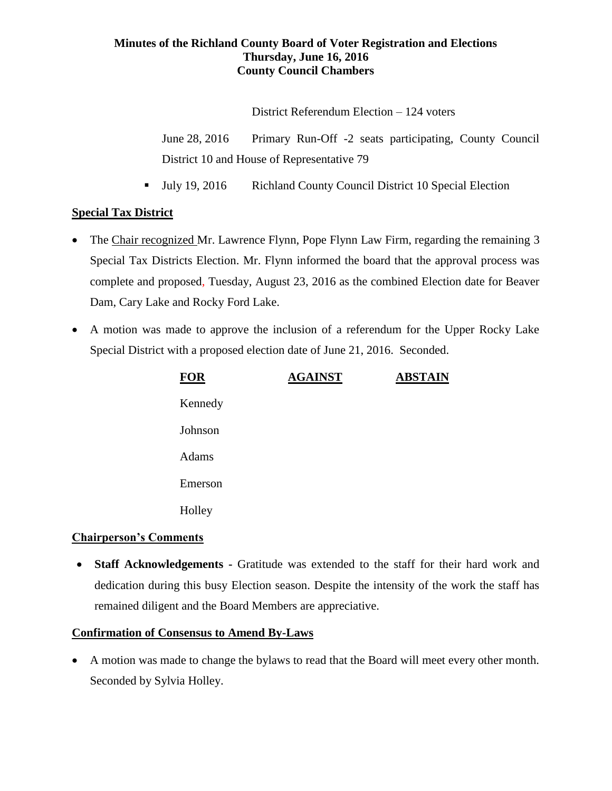District Referendum Election – 124 voters

June 28, 2016 Primary Run-Off -2 seats participating, County Council District 10 and House of Representative 79

Ully 19, 2016 Richland County Council District 10 Special Election

# **Special Tax District**

- The Chair recognized Mr. Lawrence Flynn, Pope Flynn Law Firm, regarding the remaining 3 Special Tax Districts Election. Mr. Flynn informed the board that the approval process was complete and proposed, Tuesday, August 23, 2016 as the combined Election date for Beaver Dam, Cary Lake and Rocky Ford Lake.
- A motion was made to approve the inclusion of a referendum for the Upper Rocky Lake Special District with a proposed election date of June 21, 2016. Seconded.

| <b>FOR</b> | <b>AGAINST</b> | <b>ABSTAIN</b> |
|------------|----------------|----------------|
| Kennedy    |                |                |
| Johnson    |                |                |
| Adams      |                |                |
| Emerson    |                |                |
| Holley     |                |                |

# **Chairperson's Comments**

 **Staff Acknowledgements -** Gratitude was extended to the staff for their hard work and dedication during this busy Election season. Despite the intensity of the work the staff has remained diligent and the Board Members are appreciative.

# **Confirmation of Consensus to Amend By-Laws**

 A motion was made to change the bylaws to read that the Board will meet every other month. Seconded by Sylvia Holley.